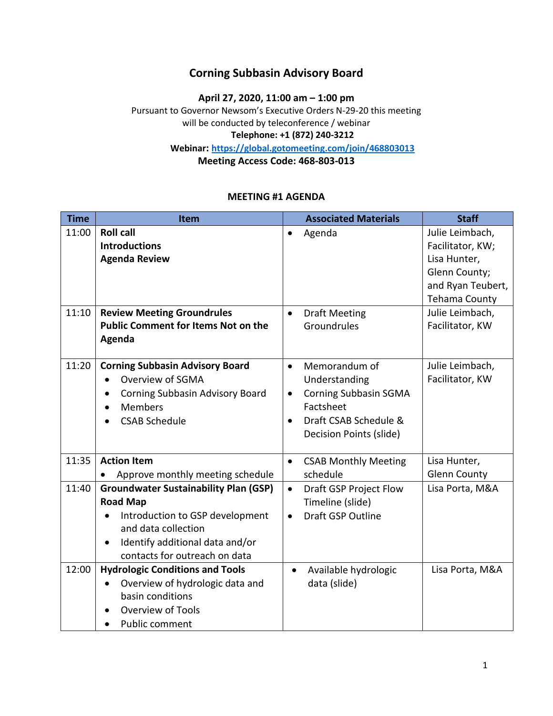### **Corning Subbasin Advisory Board**

**April 27, 2020, 11:00 am – 1:00 pm**

Pursuant to Governor Newsom's Executive Orders N-29-20 this meeting will be conducted by teleconference / webinar **Telephone: +1 (872) 240-3212 Webinar:<https://global.gotomeeting.com/join/468803013>**

**Meeting Access Code: 468-803-013**

### **MEETING #1 AGENDA**

| <b>Time</b> | Item                                                                                                                                                                                                       | <b>Associated Materials</b>                                                                                                                                            | <b>Staff</b>                                                                                                      |
|-------------|------------------------------------------------------------------------------------------------------------------------------------------------------------------------------------------------------------|------------------------------------------------------------------------------------------------------------------------------------------------------------------------|-------------------------------------------------------------------------------------------------------------------|
| 11:00       | <b>Roll call</b><br><b>Introductions</b><br><b>Agenda Review</b>                                                                                                                                           | Agenda                                                                                                                                                                 | Julie Leimbach,<br>Facilitator, KW;<br>Lisa Hunter,<br>Glenn County;<br>and Ryan Teubert,<br><b>Tehama County</b> |
| 11:10       | <b>Review Meeting Groundrules</b><br><b>Public Comment for Items Not on the</b><br>Agenda                                                                                                                  | <b>Draft Meeting</b><br>$\bullet$<br>Groundrules                                                                                                                       | Julie Leimbach,<br>Facilitator, KW                                                                                |
| 11:20       | <b>Corning Subbasin Advisory Board</b><br>Overview of SGMA<br>$\bullet$<br>Corning Subbasin Advisory Board<br>٠<br><b>Members</b><br><b>CSAB Schedule</b>                                                  | Memorandum of<br>$\bullet$<br>Understanding<br><b>Corning Subbasin SGMA</b><br>$\bullet$<br>Factsheet<br>Draft CSAB Schedule &<br>$\bullet$<br>Decision Points (slide) | Julie Leimbach,<br>Facilitator, KW                                                                                |
| 11:35       | <b>Action Item</b><br>Approve monthly meeting schedule                                                                                                                                                     | <b>CSAB Monthly Meeting</b><br>$\bullet$<br>schedule                                                                                                                   | Lisa Hunter,<br><b>Glenn County</b>                                                                               |
| 11:40       | <b>Groundwater Sustainability Plan (GSP)</b><br><b>Road Map</b><br>Introduction to GSP development<br>$\bullet$<br>and data collection<br>Identify additional data and/or<br>contacts for outreach on data | Draft GSP Project Flow<br>$\bullet$<br>Timeline (slide)<br>Draft GSP Outline<br>$\bullet$                                                                              | Lisa Porta, M&A                                                                                                   |
| 12:00       | <b>Hydrologic Conditions and Tools</b><br>Overview of hydrologic data and<br>$\bullet$<br>basin conditions<br><b>Overview of Tools</b><br>Public comment                                                   | Available hydrologic<br>$\bullet$<br>data (slide)                                                                                                                      | Lisa Porta, M&A                                                                                                   |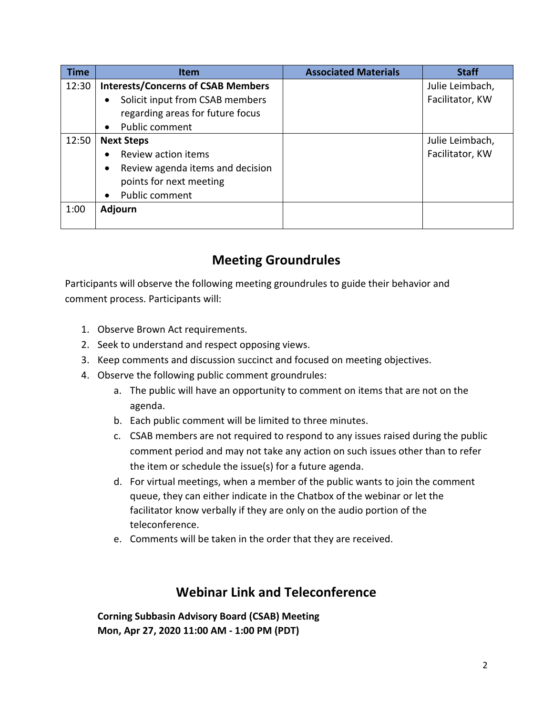| Time  | <b>Item</b>                                   | <b>Associated Materials</b> | <b>Staff</b>    |
|-------|-----------------------------------------------|-----------------------------|-----------------|
| 12:30 | <b>Interests/Concerns of CSAB Members</b>     |                             | Julie Leimbach, |
|       | Solicit input from CSAB members<br>$\bullet$  |                             | Facilitator, KW |
|       | regarding areas for future focus              |                             |                 |
|       | <b>Public comment</b><br>$\bullet$            |                             |                 |
| 12:50 | <b>Next Steps</b>                             |                             | Julie Leimbach, |
|       | Review action items<br>$\bullet$              |                             | Facilitator, KW |
|       | Review agenda items and decision<br>$\bullet$ |                             |                 |
|       | points for next meeting                       |                             |                 |
|       | Public comment<br>$\bullet$                   |                             |                 |
| 1:00  | <b>Adjourn</b>                                |                             |                 |
|       |                                               |                             |                 |

# **Meeting Groundrules**

Participants will observe the following meeting groundrules to guide their behavior and comment process. Participants will:

- 1. Observe Brown Act requirements.
- 2. Seek to understand and respect opposing views.
- 3. Keep comments and discussion succinct and focused on meeting objectives.
- 4. Observe the following public comment groundrules:
	- a. The public will have an opportunity to comment on items that are not on the agenda.
	- b. Each public comment will be limited to three minutes.
	- c. CSAB members are not required to respond to any issues raised during the public comment period and may not take any action on such issues other than to refer the item or schedule the issue(s) for a future agenda.
	- d. For virtual meetings, when a member of the public wants to join the comment queue, they can either indicate in the Chatbox of the webinar or let the facilitator know verbally if they are only on the audio portion of the teleconference.
	- e. Comments will be taken in the order that they are received.

## **Webinar Link and Teleconference**

**Corning Subbasin Advisory Board (CSAB) Meeting Mon, Apr 27, 2020 11:00 AM - 1:00 PM (PDT)**